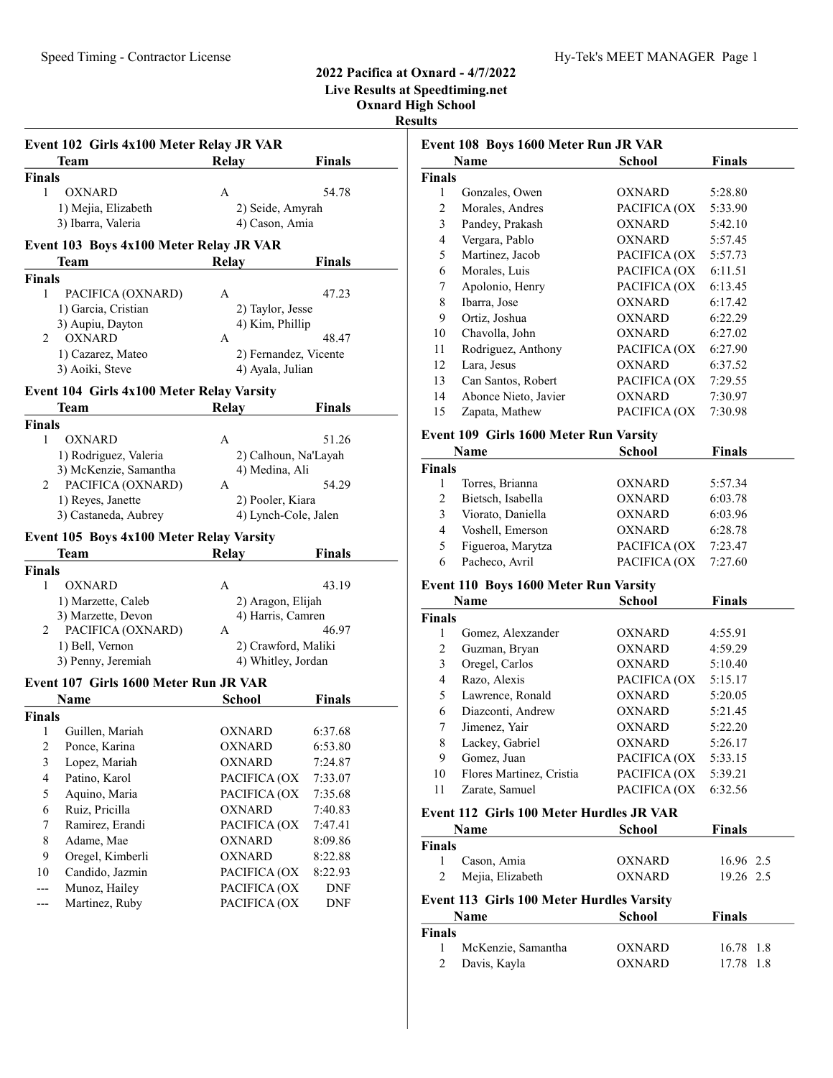# Speed Timing - Contractor License Hy-Tek's MEET MANAGER Page 1

### 2022 Pacifica at Oxnard - 4/7/2022 Live Results at Speedtiming.net

Oxnard High School

Results

|                                           | Event 102 Girls 4x100 Meter Relay JR VAR<br>Team | <b>Relay</b>         | <b>Finals</b>         |  |
|-------------------------------------------|--------------------------------------------------|----------------------|-----------------------|--|
| Finals                                    |                                                  |                      |                       |  |
| $\mathbf{1}$                              | OXNARD                                           | A                    | 54.78                 |  |
|                                           | 1) Mejia, Elizabeth                              | 2) Seide, Amyrah     |                       |  |
|                                           | 3) Ibarra, Valeria                               | 4) Cason, Amia       |                       |  |
|                                           | Event 103 Boys 4x100 Meter Relay JR VAR          |                      |                       |  |
|                                           | Team                                             | Relay                | Finals                |  |
| <b>Finals</b>                             |                                                  |                      |                       |  |
| 1                                         | PACIFICA (OXNARD)                                | A                    | 47.23                 |  |
|                                           | 1) Garcia, Cristian                              | 2) Taylor, Jesse     |                       |  |
|                                           | 3) Aupiu, Dayton                                 | 4) Kim, Phillip      |                       |  |
|                                           | 2 OXNARD                                         | A                    | 48.47                 |  |
|                                           | 1) Cazarez, Mateo                                |                      | 2) Fernandez, Vicente |  |
|                                           | 3) Aoiki, Steve                                  | 4) Ayala, Julian     |                       |  |
|                                           | Event 104 Girls 4x100 Meter Relay Varsity        |                      |                       |  |
|                                           | Team                                             | <b>Relay</b>         | <b>Finals</b>         |  |
| <b>Finals</b>                             |                                                  |                      |                       |  |
| 1                                         | OXNARD                                           | A                    | 51.26                 |  |
|                                           | 1) Rodriguez, Valeria                            |                      | 2) Calhoun, Na'Layah  |  |
|                                           | 3) McKenzie, Samantha                            | 4) Medina, Ali       |                       |  |
|                                           | 2 PACIFICA (OXNARD)                              | A                    | 54.29                 |  |
|                                           | 1) Reyes, Janette                                | 2) Pooler, Kiara     |                       |  |
|                                           | 3) Castaneda, Aubrey                             | 4) Lynch-Cole, Jalen |                       |  |
|                                           |                                                  |                      |                       |  |
|                                           |                                                  |                      |                       |  |
|                                           | Event 105 Boys 4x100 Meter Relay Varsity<br>Team |                      | <b>Finals</b>         |  |
| <b>Finals</b>                             |                                                  | Relay                |                       |  |
| 1                                         | OXNARD                                           | A                    | 43.19                 |  |
|                                           | 1) Marzette, Caleb                               | 2) Aragon, Elijah    |                       |  |
|                                           | 3) Marzette, Devon                               | 4) Harris, Camren    |                       |  |
|                                           | 2 PACIFICA (OXNARD)                              | A                    | 46.97                 |  |
|                                           | 1) Bell, Vernon                                  | 2) Crawford, Maliki  |                       |  |
|                                           | 3) Penny, Jeremiah                               | 4) Whitley, Jordan   |                       |  |
|                                           |                                                  |                      |                       |  |
|                                           | Event 107 Girls 1600 Meter Run JR VAR<br>Name    |                      |                       |  |
|                                           |                                                  | School               | Finals                |  |
| Finals<br>1                               |                                                  | OXNARD               | 6:37.68               |  |
| 2                                         | Guillen, Mariah                                  | OXNARD               |                       |  |
|                                           | Ponce, Karina                                    | OXNARD               | 6:53.80<br>7:24.87    |  |
| $\mathfrak{Z}$<br>$\overline{\mathbf{4}}$ | Lopez, Mariah<br>Patino, Karol                   | PACIFICA (OX         |                       |  |
| 5                                         | Aquino, Maria                                    | PACIFICA (OX         | 7:33.07<br>7:35.68    |  |
| 6                                         | Ruiz, Pricilla                                   | <b>OXNARD</b>        | 7:40.83               |  |
| 7                                         | Ramirez, Erandi                                  | PACIFICA (OX         | 7:47.41               |  |
| $\,$ 8 $\,$                               | Adame, Mae                                       | OXNARD               | 8:09.86               |  |
| 9                                         | Oregel, Kimberli                                 | <b>OXNARD</b>        | 8:22.88               |  |
| 10                                        | Candido, Jazmin                                  | PACIFICA (OX         | 8:22.93               |  |
| ---                                       | Munoz, Hailey                                    | PACIFICA (OX         | DNF                   |  |
| ---                                       | Martinez, Ruby                                   | PACIFICA (OX         | DNF                   |  |

|                         | Event 108 Boys 1600 Meter Run JR VAR          |               |               |
|-------------------------|-----------------------------------------------|---------------|---------------|
|                         | Name                                          | <b>School</b> | <b>Finals</b> |
| <b>Finals</b>           |                                               |               |               |
| 1                       | Gonzales, Owen                                | OXNARD        | 5:28.80       |
| 2                       | Morales, Andres                               | PACIFICA (OX  | 5:33.90       |
| $\overline{\mathbf{3}}$ | Pandey, Prakash                               | <b>OXNARD</b> | 5:42.10       |
| 4                       | Vergara, Pablo                                | <b>OXNARD</b> | 5:57.45       |
| 5                       | Martinez, Jacob                               | PACIFICA (OX  | 5:57.73       |
| 6                       | Morales, Luis                                 | PACIFICA (OX  | 6:11.51       |
| 7                       | Apolonio, Henry                               | PACIFICA (OX  | 6:13.45       |
| 8                       | Ibarra, Jose                                  | <b>OXNARD</b> | 6:17.42       |
| 9                       | Ortiz, Joshua                                 | OXNARD        | 6:22.29       |
| 10                      | Chavolla, John                                | OXNARD        | 6:27.02       |
| 11                      | Rodriguez, Anthony                            | PACIFICA (OX  | 6:27.90       |
| 12                      | Lara, Jesus                                   | <b>OXNARD</b> | 6:37.52       |
| 13                      | Can Santos, Robert                            | PACIFICA (OX  | 7:29.55       |
| 14                      | Abonce Nieto, Javier                          | <b>OXNARD</b> | 7:30.97       |
| 15                      | Zapata, Mathew                                | PACIFICA (OX  | 7:30.98       |
|                         | <b>Event 109 Girls 1600 Meter Run Varsity</b> |               |               |
|                         | Name                                          | <b>School</b> | <b>Finals</b> |
| Finals                  |                                               |               |               |
| 1                       | Torres, Brianna                               | OXNARD        | 5:57.34       |
| $\overline{c}$          | Bietsch, Isabella                             | OXNARD        | 6:03.78       |
| 3                       | Viorato, Daniella                             | OXNARD        | 6:03.96       |
| $\overline{4}$          | Voshell, Emerson                              | OXNARD        | 6:28.78       |
| 5                       | Figueroa, Marytza                             | PACIFICA (OX  | 7:23.47       |
| 6                       | Pacheco, Avril                                | PACIFICA (OX  | 7:27.60       |
|                         | <b>Event 110 Boys 1600 Meter Run Varsity</b>  |               |               |
|                         | Name                                          | <b>School</b> | <b>Finals</b> |
| Finals                  |                                               |               |               |
| 1                       | Gomez, Alexzander                             | OXNARD        | 4:55.91       |
| $\overline{c}$          | Guzman, Bryan                                 | OXNARD        | 4:59.29       |
| 3                       | Oregel, Carlos                                | OXNARD        | 5:10.40       |
| $\overline{4}$          | Razo, Alexis                                  | PACIFICA (OX  | 5:15.17       |
| 5                       | Lawrence, Ronald                              | <b>OXNARD</b> | 5:20.05       |
| 6                       | Diazconti, Andrew                             | OXNARD        | 5:21.45       |
| 7                       | Jimenez, Yair                                 | OXNARD        | 5:22.20       |
| 8                       | Lackey, Gabriel                               | OXNARD        | 5:26.17       |
| 9                       | Gomez, Juan                                   | PACIFICA (OX  | 5:33.15       |
| 10                      | Flores Martinez, Cristia                      | PACIFICA (OX  | 5:39.21       |
| 11                      | Zarate, Samuel                                | PACIFICA (OX  | 6:32.56       |
|                         | Event 112 Girls 100 Meter Hurdles JR VAR      |               |               |
|                         | Name                                          | <b>School</b> | <b>Finals</b> |
| Finals                  |                                               |               |               |
| 1                       | Cason, Amia                                   | OXNARD        | 16.96 2.5     |
| $\overline{c}$          | Mejia, Elizabeth                              | <b>OXNARD</b> | 19.26 2.5     |

| Event 113 Girls 100 Meter Hurdles Varsity |  |  |  |  |  |
|-------------------------------------------|--|--|--|--|--|
|-------------------------------------------|--|--|--|--|--|

| <b>Name</b>   |                    | School | <b>Finals</b> |
|---------------|--------------------|--------|---------------|
| <b>Finals</b> |                    |        |               |
|               | McKenzie, Samantha | OXNARD | 16.78 1.8     |
| 2             | Davis, Kayla       | OXNARD | 17.78 1.8     |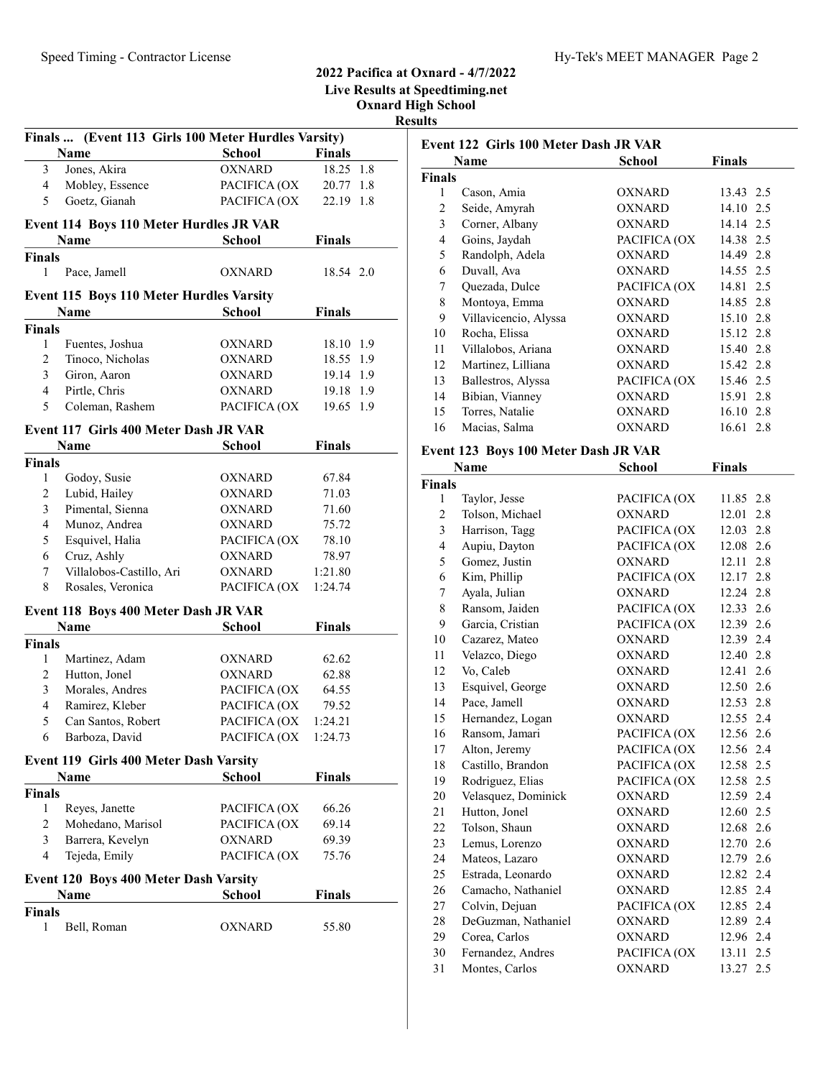### 2022 Pacifica at Oxnard - 4/7/2022 Live Results at Speedtiming.net

Oxnard High School Results

| Finals  (Event 113 Girls 100 Meter Hurdles Varsity) |                                                 |               |               |  |  |
|-----------------------------------------------------|-------------------------------------------------|---------------|---------------|--|--|
|                                                     | Name                                            | <b>School</b> | <b>Finals</b> |  |  |
| 3                                                   | Jones, Akira                                    | <b>OXNARD</b> | 18.25 1.8     |  |  |
| 4                                                   | Mobley, Essence                                 | PACIFICA (OX  | 20.77 1.8     |  |  |
| 5                                                   | Goetz, Gianah                                   | PACIFICA (OX  | 22.19 1.8     |  |  |
|                                                     |                                                 |               |               |  |  |
|                                                     | Event 114 Boys 110 Meter Hurdles JR VAR         |               |               |  |  |
|                                                     | Name                                            | School        | Finals        |  |  |
| <b>Finals</b>                                       |                                                 |               |               |  |  |
| 1                                                   | Pace, Jamell                                    | <b>OXNARD</b> | 18.54 2.0     |  |  |
|                                                     | <b>Event 115 Boys 110 Meter Hurdles Varsity</b> |               |               |  |  |
|                                                     | Name                                            | <b>School</b> | <b>Finals</b> |  |  |
| <b>Finals</b>                                       |                                                 |               |               |  |  |
| $\mathbf{1}$                                        | Fuentes, Joshua                                 | OXNARD        | 18.10 1.9     |  |  |
| $\overline{2}$                                      | Tinoco, Nicholas                                | OXNARD        | 18.55 1.9     |  |  |
| 3                                                   |                                                 | <b>OXNARD</b> |               |  |  |
|                                                     | Giron, Aaron                                    | <b>OXNARD</b> | 19.14 1.9     |  |  |
| 4                                                   | Pirtle, Chris                                   |               | 19.18 1.9     |  |  |
| 5                                                   | Coleman, Rashem                                 | PACIFICA (OX  | 19.65 1.9     |  |  |
|                                                     | Event 117 Girls 400 Meter Dash JR VAR           |               |               |  |  |
|                                                     | Name                                            | School        | <b>Finals</b> |  |  |
| <b>Finals</b>                                       |                                                 |               |               |  |  |
| 1                                                   | Godoy, Susie                                    | OXNARD        | 67.84         |  |  |
| $\overline{c}$                                      | Lubid, Hailey                                   | OXNARD        | 71.03         |  |  |
| 3                                                   | Pimental, Sienna                                | OXNARD        | 71.60         |  |  |
| 4                                                   | Munoz, Andrea                                   | <b>OXNARD</b> | 75.72         |  |  |
| 5                                                   | Esquivel, Halia                                 | PACIFICA (OX  | 78.10         |  |  |
| 6                                                   | Cruz, Ashly                                     | <b>OXNARD</b> | 78.97         |  |  |
| 7                                                   | Villalobos-Castillo, Ari                        | <b>OXNARD</b> | 1:21.80       |  |  |
| 8                                                   | Rosales, Veronica                               | PACIFICA (OX  | 1:24.74       |  |  |
|                                                     |                                                 |               |               |  |  |
|                                                     | Event 118 Boys 400 Meter Dash JR VAR            |               |               |  |  |
|                                                     | Name                                            | School        | Finals        |  |  |
| <b>Finals</b>                                       |                                                 |               |               |  |  |
| 1                                                   | Martinez, Adam                                  | OXNARD        | 62.62         |  |  |
| 2                                                   | Hutton, Jonel                                   | OXNARD        | 62.88         |  |  |
| 3                                                   | Morales, Andres                                 | PACIFICA (OX  | 64.55         |  |  |
| 4                                                   | Ramirez, Kleber                                 | PACIFICA (OX  | 79.52         |  |  |
| 5                                                   | Can Santos, Robert                              | PACIFICA (OX  | 1:24.21       |  |  |
| 6                                                   | Barboza, David                                  | PACIFICA (OX  | 1:24.73       |  |  |
|                                                     | Event 119 Girls 400 Meter Dash Varsity          |               |               |  |  |
|                                                     | <b>Name</b>                                     | <b>School</b> | <b>Finals</b> |  |  |
| <b>Finals</b>                                       |                                                 |               |               |  |  |
| 1                                                   | Reyes, Janette                                  | PACIFICA (OX  | 66.26         |  |  |
| 2                                                   | Mohedano, Marisol                               | PACIFICA (OX  | 69.14         |  |  |
| 3                                                   | Barrera, Kevelyn                                | <b>OXNARD</b> | 69.39         |  |  |
| 4                                                   | Tejeda, Emily                                   | PACIFICA (OX  | 75.76         |  |  |
|                                                     |                                                 |               |               |  |  |
|                                                     | <b>Event 120 Boys 400 Meter Dash Varsity</b>    |               |               |  |  |
|                                                     | Name                                            | School        | <b>Finals</b> |  |  |
| <b>Finals</b>                                       |                                                 |               |               |  |  |
| 1                                                   | Bell, Roman                                     | OXNARD        | 55.80         |  |  |
|                                                     |                                                 |               |               |  |  |

|                         | Event 122 Girls 100 Meter Dash JR VAR |               |                  |
|-------------------------|---------------------------------------|---------------|------------------|
|                         | Name                                  | School        | <b>Finals</b>    |
| <b>Finals</b>           |                                       |               |                  |
| 1                       | Cason, Amia                           | <b>OXNARD</b> | 13.43 2.5        |
| $\overline{c}$          | Seide, Amyrah                         | <b>OXNARD</b> | 14.10 2.5        |
| 3                       | Corner, Albany                        | <b>OXNARD</b> | 14.14 2.5        |
| $\overline{4}$          | Goins, Jaydah                         | PACIFICA (OX  | 14.38<br>2.5     |
| 5                       | Randolph, Adela                       | <b>OXNARD</b> | 14.49<br>2.8     |
| 6                       | Duvall, Ava                           | <b>OXNARD</b> | 14.55 2.5        |
| 7                       | Quezada, Dulce                        | PACIFICA (OX  | 14.81<br>2.5     |
| $\,$ $\,$               | Montoya, Emma                         | <b>OXNARD</b> | 14.85 2.8        |
| 9                       | Villavicencio, Alyssa                 | <b>OXNARD</b> | 15.10 2.8        |
| 10                      | Rocha, Elissa                         | <b>OXNARD</b> | 15.12 2.8        |
| 11                      | Villalobos, Ariana                    | OXNARD        | 15.40 2.8        |
| 12                      | Martinez, Lilliana                    | <b>OXNARD</b> | 15.42 2.8        |
| 13                      | Ballestros, Alyssa                    | PACIFICA (OX  | 15.46 2.5        |
| 14                      | Bibian, Vianney                       | OXNARD        | 15.91 2.8        |
| 15                      | Torres, Natalie                       | <b>OXNARD</b> | 16.10 2.8        |
| 16                      | Macias, Salma                         | <b>OXNARD</b> | 16.61 2.8        |
|                         |                                       |               |                  |
|                         | Event 123 Boys 100 Meter Dash JR VAR  |               |                  |
|                         | Name                                  | <b>School</b> | <b>Finals</b>    |
| <b>Finals</b>           |                                       |               |                  |
| 1                       | Taylor, Jesse                         | PACIFICA (OX  | 11.85 2.8        |
| $\overline{c}$          | Tolson, Michael                       | <b>OXNARD</b> | 12.01<br>2.8     |
| 3                       | Harrison, Tagg                        | PACIFICA (OX  | 12.03 2.8        |
| $\overline{\mathbf{4}}$ | Aupiu, Dayton                         | PACIFICA (OX  | 12.08 2.6        |
| 5                       | Gomez, Justin                         | <b>OXNARD</b> | 2.8<br>12.11     |
| 6                       | Kim, Phillip                          | PACIFICA (OX  | 12.17 2.8        |
| 7                       | Ayala, Julian                         | <b>OXNARD</b> | 12.24 2.8        |
| 8                       | Ransom, Jaiden                        | PACIFICA (OX  | 12.33 2.6        |
| 9                       | Garcia, Cristian                      | PACIFICA (OX  | 2.6<br>12.39     |
| 10                      | Cazarez, Mateo                        | <b>OXNARD</b> | 12.39<br>2.4     |
| 11                      | Velazco, Diego                        | <b>OXNARD</b> | 12.40 2.8        |
| 12                      | Vo, Caleb                             | <b>OXNARD</b> | 12.41<br>2.6     |
| 13                      | Esquivel, George                      | <b>OXNARD</b> | 12.50<br>2.6     |
| 14                      | Pace, Jamell                          | <b>OXNARD</b> | 12.53 2.8        |
| 15                      | Hernandez, Logan                      | <b>OXNARD</b> | 12.55 2.4        |
| 16                      | Ransom, Jamari                        | PACIFICA (OX  | 12.56 2.6        |
| 17                      | Alton, Jeremy                         | PACIFICA (OX  | 12.56 2.4        |
| 18                      | Castillo, Brandon                     | PACIFICA (OX  | 12.58 2.5        |
| 19                      | Rodriguez, Elias                      | PACIFICA (OX  | $2.5\,$<br>12.58 |
| $20\,$                  | Velasquez, Dominick                   | <b>OXNARD</b> | 2.4<br>12.59     |
| 21                      | Hutton, Jonel                         | <b>OXNARD</b> | 2.5<br>12.60     |
| 22                      | Tolson, Shaun                         | OXNARD        | 12.68<br>2.6     |
| 23                      | Lemus, Lorenzo                        | OXNARD        | 12.70<br>2.6     |
| 24                      | Mateos, Lazaro                        | OXNARD        | 12.79<br>2.6     |
| 25                      | Estrada, Leonardo                     | OXNARD        | 12.82<br>2.4     |
| 26                      | Camacho, Nathaniel                    | <b>OXNARD</b> | 12.85 2.4        |
| 27                      | Colvin, Dejuan                        | PACIFICA (OX  | 12.85 2.4        |
| 28                      | DeGuzman, Nathaniel                   | <b>OXNARD</b> | 12.89<br>2.4     |
| 29                      | Corea, Carlos                         | <b>OXNARD</b> | 12.96<br>2.4     |
| 30                      | Fernandez, Andres                     | PACIFICA (OX  | 2.5<br>13.11     |
| 31                      | Montes, Carlos                        | <b>OXNARD</b> | 2.5<br>13.27     |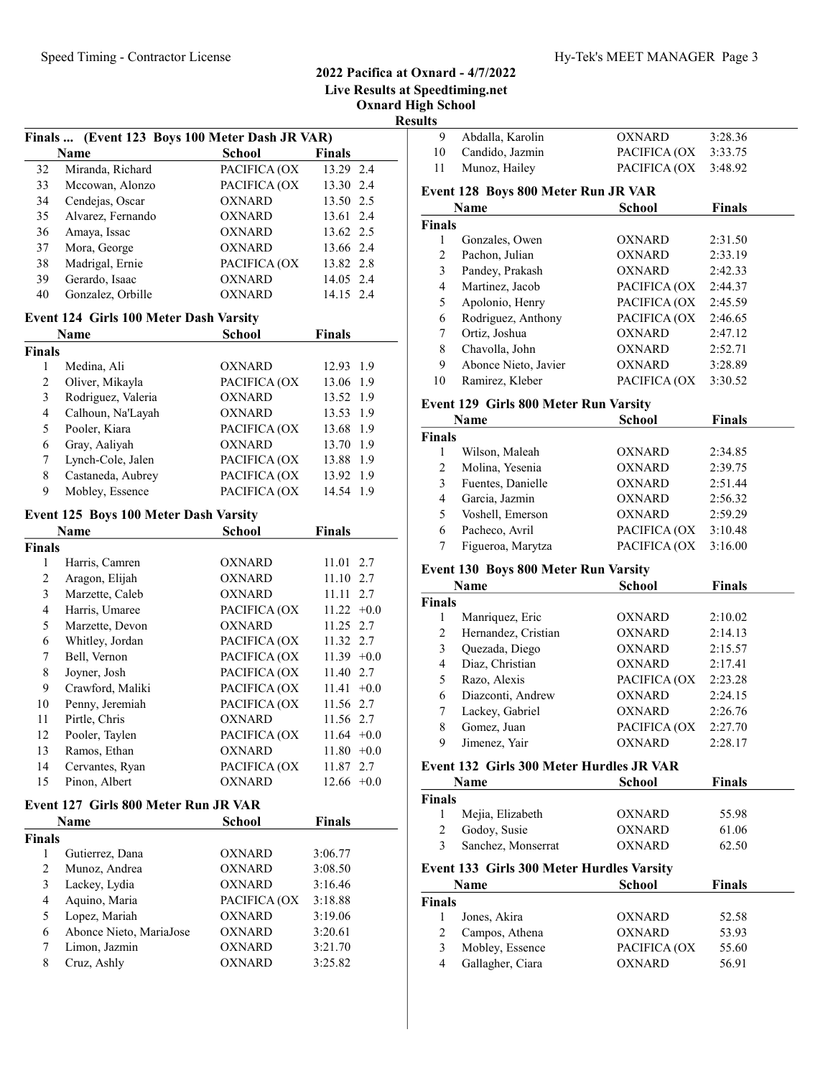# 2022 Pacifica at Oxnard - 4/7/2022

Live Results at Speedtiming.net

Oxnard High School

|                         |                                                |               |               | ILС |
|-------------------------|------------------------------------------------|---------------|---------------|-----|
|                         | Finals  (Event 123 Boys 100 Meter Dash JR VAR) |               |               |     |
|                         | Name                                           | <b>School</b> | Finals        |     |
| 32                      | Miranda, Richard                               | PACIFICA (OX  | 13.29 2.4     |     |
| 33                      | Mccowan, Alonzo                                | PACIFICA (OX  | 13.30 2.4     |     |
| 34                      | Cendejas, Oscar                                | OXNARD        | 13.50 2.5     |     |
| 35                      | Alvarez, Fernando                              | OXNARD        | 13.61 2.4     |     |
| 36                      | Amaya, Issac                                   | OXNARD        | 13.62 2.5     |     |
| 37                      | Mora, George                                   | OXNARD        | 13.66 2.4     |     |
| 38                      | Madrigal, Ernie                                | PACIFICA (OX  | 13.82 2.8     |     |
| 39                      | Gerardo, Isaac                                 | OXNARD        | 14.05 2.4     |     |
| 40                      | Gonzalez, Orbille                              | OXNARD        | 14.15 2.4     |     |
|                         | Event 124 Girls 100 Meter Dash Varsity         |               |               |     |
|                         | Name                                           | School        | <b>Finals</b> |     |
| <b>Finals</b>           |                                                |               |               |     |
| 1                       | Medina, Ali                                    | OXNARD        | 12.93 1.9     |     |
| $\mathfrak{2}$          | Oliver, Mikayla                                | PACIFICA (OX  | 13.06 1.9     |     |
| $\mathfrak{Z}$          | Rodriguez, Valeria                             | <b>OXNARD</b> | 13.52 1.9     |     |
| $\overline{4}$          | Calhoun, Na'Layah                              | <b>OXNARD</b> | 13.53 1.9     |     |
| 5                       | Pooler, Kiara                                  | PACIFICA (OX  | 13.68 1.9     |     |
| 6                       | Gray, Aaliyah                                  | <b>OXNARD</b> | 13.70 1.9     |     |
| 7                       | Lynch-Cole, Jalen                              | PACIFICA (OX  | 13.88 1.9     |     |
| 8                       | Castaneda, Aubrey                              | PACIFICA (OX  | 13.92 1.9     |     |
| 9                       | Mobley, Essence                                | PACIFICA (OX  | 14.54 1.9     |     |
|                         |                                                |               |               |     |
|                         | Event 125 Boys 100 Meter Dash Varsity          |               |               |     |
|                         | <b>Name</b>                                    | <b>School</b> | <b>Finals</b> |     |
| <b>Finals</b>           |                                                |               |               |     |
| 1                       | Harris, Camren                                 | OXNARD        | 11.01 2.7     |     |
| $\mathfrak{2}$          | Aragon, Elijah                                 | <b>OXNARD</b> | 11.10 2.7     |     |
| $\mathfrak{Z}$          | Marzette, Caleb                                | <b>OXNARD</b> | 11.11 2.7     |     |
| $\overline{4}$          | Harris, Umaree                                 | PACIFICA (OX  | $11.22 +0.0$  |     |
| 5                       | Marzette, Devon                                | OXNARD        | 11.25 2.7     |     |
| 6                       | Whitley, Jordan                                | PACIFICA (OX  | 11.32 2.7     |     |
| 7                       | Bell, Vernon                                   | PACIFICA (OX  | $11.39 +0.0$  |     |
| 8                       | Joyner, Josh                                   | PACIFICA (OX  | 11.40 2.7     |     |
| 9                       | Crawford, Maliki                               | PACIFICA (OX  | $11.41 + 0.0$ |     |
| 10                      | Penny, Jeremiah                                | PACIFICA (OX  | 11.56 2.7     |     |
| 11                      | Pirtle, Chris                                  | <b>OXNARD</b> | 11.56 2.7     |     |
| 12                      | Pooler, Taylen                                 | PACIFICA (OX  | $11.64 + 0.0$ |     |
| 13                      | Ramos, Ethan                                   | OXNARD        | $11.80 +0.0$  |     |
| 14                      | Cervantes, Ryan                                | PACIFICA (OX  | 11.87 2.7     |     |
| 15                      | Pinon, Albert                                  | OXNARD        | $12.66 + 0.0$ |     |
|                         |                                                |               |               |     |
|                         | Event 127 Girls 800 Meter Run JR VAR           |               |               |     |
|                         | Name                                           | School        | <b>Finals</b> |     |
| <b>Finals</b>           |                                                |               |               |     |
| 1                       | Gutierrez, Dana                                | OXNARD        | 3:06.77       |     |
| $\overline{c}$          | Munoz, Andrea                                  | <b>OXNARD</b> | 3:08.50       |     |
|                         | Lackey, Lydia                                  | <b>OXNARD</b> | 3:16.46       |     |
| 3                       |                                                |               |               |     |
| $\overline{\mathbf{4}}$ | Aquino, Maria                                  | PACIFICA (OX  | 3:18.88       |     |
| 5                       | Lopez, Mariah                                  | OXNARD        | 3:19.06       |     |
| 6                       | Abonce Nieto, MariaJose                        | OXNARD        | 3:20.61       |     |
| 7                       | Limon, Jazmin                                  | OXNARD        | 3:21.70       |     |

| <b>Results</b> |                                           |               |               |
|----------------|-------------------------------------------|---------------|---------------|
| 9              | Abdalla, Karolin                          | <b>OXNARD</b> | 3:28.36       |
| 10             | Candido, Jazmin                           | PACIFICA (OX  | 3:33.75       |
| 11             | Munoz, Hailey                             | PACIFICA (OX  | 3:48.92       |
|                | Event 128 Boys 800 Meter Run JR VAR       |               |               |
|                | Name                                      | <b>School</b> | <b>Finals</b> |
| <b>Finals</b>  |                                           |               |               |
| 1              | Gonzales, Owen                            | <b>OXNARD</b> | 2:31.50       |
| 2              | Pachon, Julian                            | <b>OXNARD</b> | 2:33.19       |
| 3              | Pandey, Prakash                           | <b>OXNARD</b> | 2:42.33       |
| $\overline{4}$ | Martinez, Jacob                           | PACIFICA (OX  | 2:44.37       |
| 5              | Apolonio, Henry                           | PACIFICA (OX  | 2:45.59       |
| 6              | Rodriguez, Anthony                        | PACIFICA (OX  | 2:46.65       |
| 7              | Ortiz, Joshua                             | <b>OXNARD</b> | 2:47.12       |
| 8              | Chavolla, John                            | <b>OXNARD</b> | 2:52.71       |
| 9              | Abonce Nieto, Javier                      | <b>OXNARD</b> | 3:28.89       |
| 10             | Ramirez, Kleber                           | PACIFICA (OX  | 3:30.52       |
|                | Event 129 Girls 800 Meter Run Varsity     |               |               |
|                | <b>Name</b>                               | <b>School</b> | <b>Finals</b> |
| <b>Finals</b>  |                                           |               |               |
| 1              | Wilson, Maleah                            | OXNARD        | 2:34.85       |
| 2              | Molina, Yesenia                           | <b>OXNARD</b> | 2:39.75       |
| 3              | Fuentes, Danielle                         | <b>OXNARD</b> | 2:51.44       |
| $\overline{4}$ | Garcia, Jazmin                            | <b>OXNARD</b> | 2:56.32       |
| 5              | Voshell, Emerson                          | <b>OXNARD</b> | 2:59.29       |
| 6              | Pacheco, Avril                            | PACIFICA (OX  | 3:10.48       |
| 7              | Figueroa, Marytza                         | PACIFICA (OX  | 3:16.00       |
|                | Event 130 Boys 800 Meter Run Varsity      |               |               |
|                | Name                                      | <b>School</b> | <b>Finals</b> |
| <b>Finals</b>  |                                           |               |               |
| $\mathbf{1}$   | Manriquez, Eric                           | OXNARD        | 2:10.02       |
| $\overline{2}$ | Hernandez, Cristian                       | OXNARD        | 2:14.13       |
| 3              | Quezada, Diego                            | OXNARD        | 2:15.57       |
| 4              | Diaz, Christian                           | OXNARD        | 2:17.41       |
| 5              | Razo, Alexis                              | PACIFICA (OX  | 2:23.28       |
| 6              | Diazconti, Andrew                         | <b>OXNARD</b> | 2:24.15       |
| 7              | Lackey, Gabriel                           | <b>OXNARD</b> | 2:26.76       |
| 8              | Gomez, Juan                               | PACIFICA (OX  | 2:27.70       |
| 9              | Jimenez, Yair                             | <b>OXNARD</b> | 2:28.17       |
|                | Event 132 Girls 300 Meter Hurdles JR VAR  |               |               |
|                | Name                                      | <b>School</b> | <b>Finals</b> |
| <b>Finals</b>  |                                           |               |               |
| 1              | Mejia, Elizabeth                          | OXNARD        | 55.98         |
| 2              | Godoy, Susie                              | <b>OXNARD</b> | 61.06         |
| 3              | Sanchez, Monserrat                        | <b>OXNARD</b> | 62.50         |
|                | Event 133 Girls 300 Meter Hurdles Varsity |               |               |
|                | Name                                      | School        | <b>Finals</b> |
| <b>Finals</b>  |                                           |               |               |
| 1              | Jones, Akira                              | OXNARD        | 52.58         |
| 2              | Campos, Athena                            | <b>OXNARD</b> | 53.93         |
| 3              | Mobley, Essence                           | PACIFICA (OX  | 55.60         |
| 4              | Gallagher, Ciara                          | <b>OXNARD</b> | 56.91         |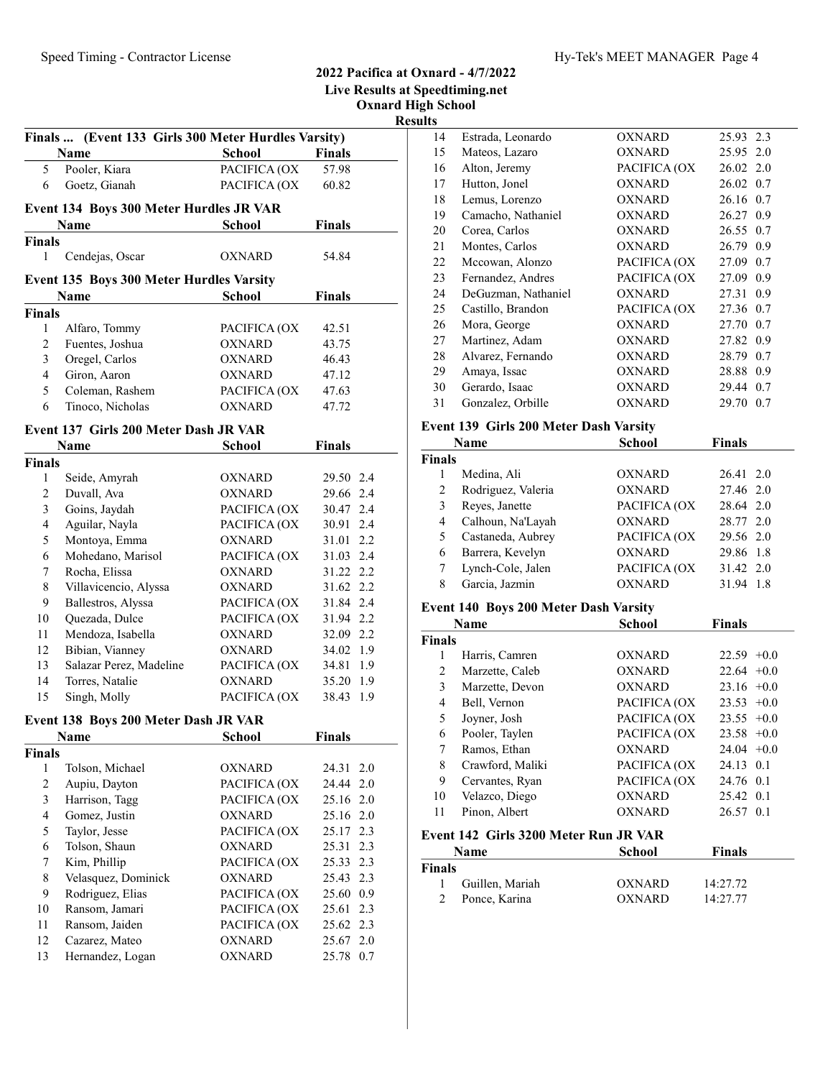|                         |                                                               |               |               | <b>Live Results at</b><br><b>Oxnard H</b> |
|-------------------------|---------------------------------------------------------------|---------------|---------------|-------------------------------------------|
|                         | Finals  (Event 133 Girls 300 Meter Hurdles Varsity)<br>Name   | School        | <b>Finals</b> | Re                                        |
| 5                       | Pooler, Kiara                                                 | PACIFICA (OX  | 57.98         |                                           |
| 6                       | Goetz, Gianah                                                 | PACIFICA (OX  | 60.82         |                                           |
|                         |                                                               |               |               |                                           |
|                         | <b>Event 134 Boys 300 Meter Hurdles JR VAR</b><br><b>Name</b> | School        | <b>Finals</b> |                                           |
| Finals                  |                                                               |               |               |                                           |
| 1                       | Cendejas, Oscar                                               | OXNARD        | 54.84         |                                           |
|                         | <b>Event 135 Boys 300 Meter Hurdles Varsity</b>               |               |               |                                           |
|                         | <b>Name</b>                                                   | <b>School</b> | <b>Finals</b> |                                           |
| <b>Finals</b>           |                                                               |               |               |                                           |
| 1                       | Alfaro, Tommy                                                 | PACIFICA (OX  | 42.51         |                                           |
| $\mathbf{2}$            | Fuentes, Joshua                                               | <b>OXNARD</b> | 43.75         |                                           |
| 3                       | Oregel, Carlos                                                | <b>OXNARD</b> | 46.43         |                                           |
| $\overline{4}$          | Giron, Aaron                                                  | OXNARD        | 47.12         |                                           |
| 5                       | Coleman, Rashem                                               | PACIFICA (OX  | 47.63         |                                           |
| 6                       | Tinoco, Nicholas                                              | OXNARD        | 47.72         |                                           |
|                         |                                                               |               |               |                                           |
|                         | Event 137 Girls 200 Meter Dash JR VAR                         |               |               |                                           |
|                         | Name                                                          | School        | <b>Finals</b> |                                           |
| Finals                  |                                                               |               |               |                                           |
| 1                       | Seide, Amyrah                                                 | OXNARD        | 29.50 2.4     |                                           |
| $\overline{2}$          | Duvall, Ava                                                   | <b>OXNARD</b> | 29.66 2.4     |                                           |
| 3                       | Goins, Jaydah                                                 | PACIFICA (OX  | 30.47 2.4     |                                           |
| $\overline{\mathbf{4}}$ | Aguilar, Nayla                                                | PACIFICA (OX  | 30.91 2.4     |                                           |
| 5                       | Montoya, Emma                                                 | <b>OXNARD</b> | 31.01 2.2     |                                           |
| 6                       | Mohedano, Marisol                                             | PACIFICA (OX  | 31.03 2.4     |                                           |
| 7                       | Rocha, Elissa                                                 | OXNARD        | 31.22 2.2     |                                           |
| 8                       | Villavicencio, Alyssa                                         | OXNARD        | 31.62 2.2     |                                           |
| 9                       | Ballestros, Alyssa                                            | PACIFICA (OX  | 31.84 2.4     |                                           |
| 10                      | Quezada, Dulce                                                | PACIFICA (OX  | 31.94 2.2     |                                           |
| 11                      | Mendoza, Isabella                                             | OXNARD        | 32.09 2.2     |                                           |
| 12                      | Bibian, Vianney                                               | OXNARD        | 34.02 1.9     |                                           |
| 13                      | Salazar Perez, Madeline                                       | PACIFICA (OX  | 34.81 1.9     |                                           |
| 14                      | Torres, Natalie                                               | <b>OXNARD</b> | 35.20 1.9     |                                           |
| 15                      | Singh, Molly                                                  | PACIFICA (OX  | 38.43         | 1.9                                       |
|                         |                                                               |               |               |                                           |
|                         | Event 138 Boys 200 Meter Dash JR VAR                          |               |               |                                           |
|                         | Name                                                          | School        | <b>Finals</b> |                                           |
| Finals                  |                                                               |               |               |                                           |
| $\mathbf{1}$            | Tolson, Michael                                               | OXNARD        | 24.31         | 2.0                                       |
| $\overline{c}$          | Aupiu, Dayton                                                 | PACIFICA (OX  | 24.44         | 2.0                                       |
| 3                       | Harrison, Tagg                                                | PACIFICA (OX  | 25.16 2.0     |                                           |
| 4                       | Gomez, Justin                                                 | <b>OXNARD</b> | 25.16 2.0     |                                           |
| 5                       | Taylor, Jesse                                                 | PACIFICA (OX  | 25.17         | 2.3                                       |
| 6                       | Tolson, Shaun                                                 | <b>OXNARD</b> | 25.31 2.3     |                                           |
| $\boldsymbol{7}$        | Kim, Phillip                                                  | PACIFICA (OX  | 25.33 2.3     |                                           |
| 8                       | Velasquez, Dominick                                           | <b>OXNARD</b> | 25.43 2.3     |                                           |
| 9                       | Rodriguez, Elias                                              | PACIFICA (OX  | 25.60 0.9     |                                           |
| 10                      | Ransom, Jamari                                                | PACIFICA (OX  | 25.61         | 2.3                                       |
| 11                      | Ransom, Jaiden                                                | PACIFICA (OX  | 25.62         | 2.3                                       |
| 12                      | Cazarez, Mateo                                                | OXNARD        | 25.67 2.0     |                                           |

13 Hernandez, Logan OXNARD 25.78 0.7

### 2022 Pacifica at Oxnard - 4/7/2022 Speedtiming.net **High School**

sults

|    | Name                                   | School        | Finals       |
|----|----------------------------------------|---------------|--------------|
|    | Event 139 Girls 200 Meter Dash Varsity |               |              |
| 31 | Gonzalez, Orbille                      | <b>OXNARD</b> | 29.70 0.7    |
| 30 | Gerardo, Isaac                         | <b>OXNARD</b> | 29.44 0.7    |
| 29 | Amaya, Issac                           | <b>OXNARD</b> | 28.88 0.9    |
| 28 | Alvarez, Fernando                      | <b>OXNARD</b> | 28.79<br>0.7 |
| 27 | Martinez, Adam                         | <b>OXNARD</b> | 27.82 0.9    |
| 26 | Mora, George                           | <b>OXNARD</b> | 27.70 0.7    |
| 25 | Castillo, Brandon                      | PACIFICA (OX  | 27.36 0.7    |
| 24 | DeGuzman, Nathaniel                    | <b>OXNARD</b> | 27.31 0.9    |
| 23 | Fernandez, Andres                      | PACIFICA (OX  | 27.09<br>0.9 |
| 22 | Mccowan, Alonzo                        | PACIFICA (OX  | 27.09<br>0.7 |
| 21 | Montes, Carlos                         | OXNARD        | 26.79 0.9    |
| 20 | Corea, Carlos                          | <b>OXNARD</b> | 26.55 0.7    |
| 19 | Camacho, Nathaniel                     | <b>OXNARD</b> | 26.27 0.9    |
| 18 | Lemus, Lorenzo                         | <b>OXNARD</b> | 26.16 0.7    |
| 17 | Hutton, Jonel                          | <b>OXNARD</b> | 26.02 0.7    |
| 16 | Alton, Jeremy                          | PACIFICA (OX  | 26.02 2.0    |
| 15 | Mateos, Lazaro                         | OXNARD        | 25.95 2.0    |
| 14 | Estrada, Leonardo                      | <b>OXNARD</b> | 25.93 2.3    |

### Finals 1 26.41 2.0 Medina, Ali OXNARD 2 27.46 2.0 Rodriguez, Valeria OXNARD 3 28.64 2.0 Reyes, Janette PACIFICA (OX 4 28.77 2.0 Calhoun, Na'Layah OXNARD 5 Castaneda, Aubrey PACIFICA (OX 29.56 2.0 6 29.86 1.8 Barrera, Kevelyn OXNARD 7 Lynch-Cole, Jalen PACIFICA (OX 31.42 2.0 8 31.94 1.8 Garcia, Jazmin OXNARD

#### Event 140 Boys 200 Meter Dash Varsity

|        | <b>Name</b>      | <b>School</b> | <b>Finals</b> |
|--------|------------------|---------------|---------------|
| Finals |                  |               |               |
|        | Harris, Camren   | <b>OXNARD</b> | $22.59 +0.0$  |
| 2      | Marzette, Caleb  | OXNARD        | $22.64 + 0.0$ |
| 3      | Marzette, Devon  | OXNARD        | $23.16 + 0.0$ |
| 4      | Bell, Vernon     | PACIFICA (OX  | $23.53 +0.0$  |
| 5      | Joyner, Josh     | PACIFICA (OX  | $23.55 + 0.0$ |
| 6      | Pooler, Taylen   | PACIFICA (OX  | $23.58 + 0.0$ |
| 7      | Ramos, Ethan     | OXNARD        | $24.04 +0.0$  |
| 8      | Crawford, Maliki | PACIFICA (OX  | 24.13 0.1     |
| 9      | Cervantes, Ryan  | PACIFICA (OX  | 24.76 0.1     |
| 10     | Velazco, Diego   | OXNARD        | 25.42 0.1     |
| 11     | Pinon, Albert    | <b>OXNARD</b> | 26.57 0.1     |
|        |                  |               |               |

# Event 142 Girls 3200 Meter Run JR VAR

| <b>Name</b> |                 | School | <b>Finals</b> |  |
|-------------|-----------------|--------|---------------|--|
| Finals      |                 |        |               |  |
|             | Guillen, Mariah | OXNARD | 14:27.72      |  |
|             | Ponce, Karina   | OXNARD | 14:27.77      |  |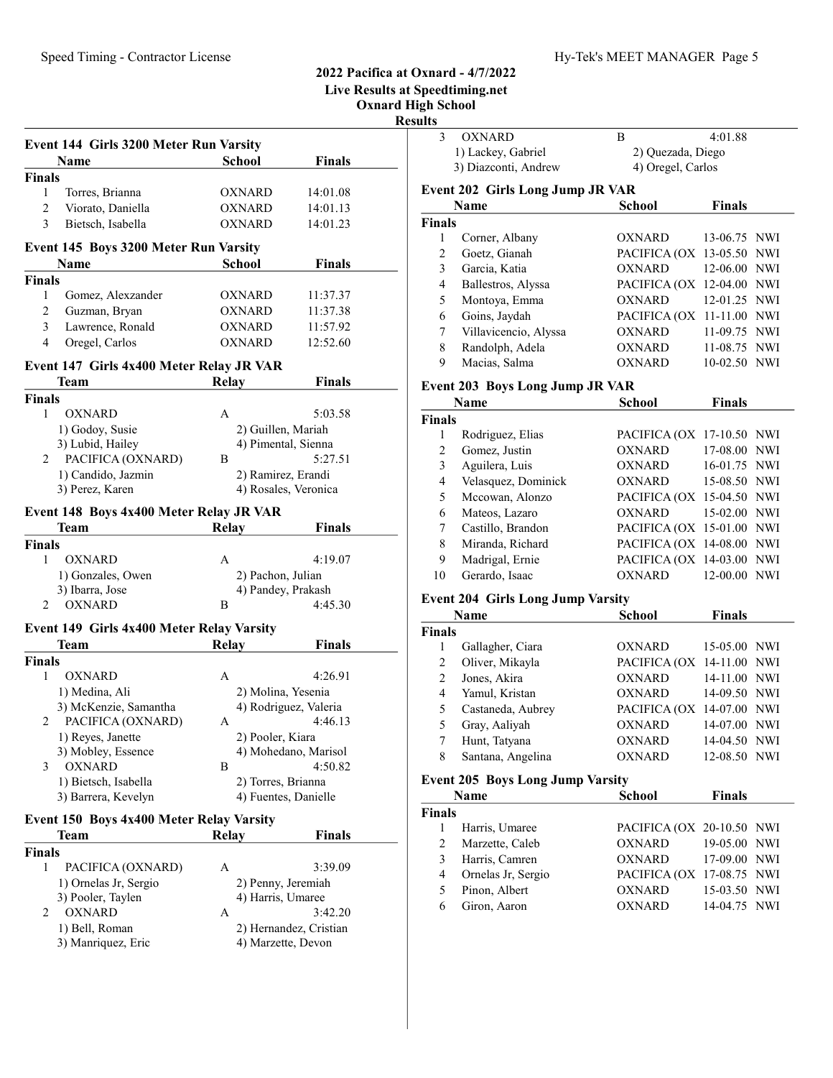|                                                  |                      |                       | <b>Live Results at Speedtiming.net</b><br><b>Oxnard High School</b> |                                          |                           |               |
|--------------------------------------------------|----------------------|-----------------------|---------------------------------------------------------------------|------------------------------------------|---------------------------|---------------|
|                                                  |                      |                       | <b>Results</b>                                                      |                                          |                           |               |
| Event 144 Girls 3200 Meter Run Varsity           |                      |                       | 3                                                                   | <b>OXNARD</b>                            | B                         | 4:01.88       |
| Name                                             | <b>School</b>        | <b>Finals</b>         |                                                                     | 1) Lackey, Gabriel                       | 2) Quezada, Diego         |               |
| <b>Finals</b>                                    |                      |                       |                                                                     | 3) Diazconti, Andrew                     | 4) Oregel, Carlos         |               |
| Torres, Brianna<br>1                             | <b>OXNARD</b>        | 14:01.08              |                                                                     | <b>Event 202 Girls Long Jump JR VAR</b>  |                           |               |
| 2<br>Viorato, Daniella                           | <b>OXNARD</b>        | 14:01.13              |                                                                     | Name                                     | <b>School</b>             | <b>Finals</b> |
| 3<br>Bietsch, Isabella                           | <b>OXNARD</b>        | 14:01.23              | <b>Finals</b>                                                       |                                          |                           |               |
|                                                  |                      |                       | $\mathbf{1}$                                                        | Corner, Albany                           | OXNARD                    | 13-06.75 NWI  |
| <b>Event 145 Boys 3200 Meter Run Varsity</b>     |                      |                       | $\overline{2}$                                                      | Goetz, Gianah                            | PACIFICA (OX 13-05.50 NWI |               |
| Name                                             | <b>School</b>        | <b>Finals</b>         | 3                                                                   | Garcia, Katia                            | <b>OXNARD</b>             | 12-06.00 NWI  |
| Finals                                           |                      |                       | 4                                                                   | Ballestros, Alyssa                       | PACIFICA (OX 12-04.00 NWI |               |
| Gomez, Alexzander<br>1                           | <b>OXNARD</b>        | 11:37.37              | 5                                                                   | Montoya, Emma                            | <b>OXNARD</b>             | 12-01.25 NWI  |
| 2<br>Guzman, Bryan                               | <b>OXNARD</b>        | 11:37.38              | 6                                                                   | Goins, Jaydah                            | PACIFICA (OX 11-11.00 NWI |               |
| 3<br>Lawrence, Ronald                            | <b>OXNARD</b>        | 11:57.92              | 7                                                                   | Villavicencio, Alyssa                    | <b>OXNARD</b>             | 11-09.75 NWI  |
| Oregel, Carlos<br>4                              | <b>OXNARD</b>        | 12:52.60              |                                                                     |                                          |                           |               |
|                                                  |                      |                       | 8                                                                   | Randolph, Adela                          | <b>OXNARD</b>             | 11-08.75 NWI  |
| Event 147 Girls 4x400 Meter Relay JR VAR         |                      |                       | 9                                                                   | Macias, Salma                            | <b>OXNARD</b>             | 10-02.50 NWI  |
| <b>Team</b>                                      | Relay                | <b>Finals</b>         |                                                                     | <b>Event 203 Boys Long Jump JR VAR</b>   |                           |               |
| Finals                                           |                      |                       |                                                                     | Name                                     | <b>School</b>             | <b>Finals</b> |
| <b>OXNARD</b><br>$\mathbf{1}$                    | A                    | 5:03.58               | <b>Finals</b>                                                       |                                          |                           |               |
| 1) Godoy, Susie                                  | 2) Guillen, Mariah   |                       | 1                                                                   | Rodriguez, Elias                         | PACIFICA (OX 17-10.50 NWI |               |
| 3) Lubid, Hailey                                 | 4) Pimental, Sienna  |                       | $\mathfrak{2}$                                                      | Gomez, Justin                            | OXNARD                    | 17-08.00 NWI  |
| PACIFICA (OXNARD)<br>2                           | B                    | 5:27.51               | 3                                                                   |                                          | <b>OXNARD</b>             |               |
| 1) Candido, Jazmin                               | 2) Ramirez, Erandi   |                       |                                                                     | Aguilera, Luis                           |                           | 16-01.75 NWI  |
| 3) Perez, Karen                                  |                      | 4) Rosales, Veronica  | 4                                                                   | Velasquez, Dominick                      | <b>OXNARD</b>             | 15-08.50 NWI  |
|                                                  |                      |                       | 5                                                                   | Mccowan, Alonzo                          | PACIFICA (OX 15-04.50 NWI |               |
| Event 148 Boys 4x400 Meter Relay JR VAR          |                      |                       | 6                                                                   | Mateos, Lazaro                           | <b>OXNARD</b>             | 15-02.00 NWI  |
| <b>Team</b>                                      | Relay                | <b>Finals</b>         | 7                                                                   | Castillo, Brandon                        | PACIFICA (OX 15-01.00 NWI |               |
| <b>Finals</b>                                    |                      |                       | 8                                                                   | Miranda, Richard                         | PACIFICA (OX 14-08.00 NWI |               |
| <b>OXNARD</b><br>1                               | A                    | 4:19.07               | 9                                                                   | Madrigal, Ernie                          | PACIFICA (OX 14-03.00 NWI |               |
| 1) Gonzales, Owen                                | 2) Pachon, Julian    |                       | 10                                                                  | Gerardo, Isaac                           | <b>OXNARD</b>             | 12-00.00 NWI  |
| 3) Ibarra, Jose                                  | 4) Pandey, Prakash   |                       |                                                                     | <b>Event 204 Girls Long Jump Varsity</b> |                           |               |
| <b>OXNARD</b><br>2                               | B                    | 4:45.30               |                                                                     |                                          |                           |               |
| <b>Event 149 Girls 4x400 Meter Relay Varsity</b> |                      |                       |                                                                     | <b>Name</b>                              | <b>School</b>             | Finals        |
|                                                  |                      |                       | <b>Finals</b>                                                       |                                          |                           |               |
| <b>Team</b>                                      | Relay                | <b>Finals</b>         | 1                                                                   | Gallagher, Ciara                         | OXNARD                    | 15-05.00 NWI  |
| <b>Finals</b>                                    |                      |                       | $\overline{2}$                                                      | Oliver, Mikayla                          | PACIFICA (OX 14-11.00 NWI |               |
| <b>OXNARD</b><br>1                               | A                    | 4:26.91               | $\overline{2}$                                                      | Jones, Akira                             | <b>OXNARD</b>             | 14-11.00 NWI  |
| 1) Medina, Ali                                   | 2) Molina, Yesenia   |                       | 4                                                                   | Yamul, Kristan                           | <b>OXNARD</b>             | 14-09.50 NWI  |
| 3) McKenzie, Samantha                            |                      | 4) Rodriguez, Valeria | 5                                                                   | Castaneda, Aubrey                        | PACIFICA (OX 14-07.00 NWI |               |
| PACIFICA (OXNARD)<br>2                           | A                    | 4:46.13               | 5                                                                   | Gray, Aaliyah                            | <b>OXNARD</b>             | 14-07.00 NWI  |
| 1) Reyes, Janette                                | 2) Pooler, Kiara     |                       | 7                                                                   | Hunt, Tatyana                            | <b>OXNARD</b>             | 14-04.50 NWI  |
| 3) Mobley, Essence                               |                      | 4) Mohedano, Marisol  | 8                                                                   | Santana, Angelina                        | <b>OXNARD</b>             | 12-08.50 NWI  |
| <b>OXNARD</b><br>3                               | B                    | 4:50.82               |                                                                     |                                          |                           |               |
| 1) Bietsch, Isabella                             | 2) Torres, Brianna   |                       |                                                                     | <b>Event 205 Boys Long Jump Varsity</b>  |                           |               |
| 3) Barrera, Kevelyn                              | 4) Fuentes, Danielle |                       |                                                                     | Name                                     | <b>School</b>             | <b>Finals</b> |
| <b>Event 150 Boys 4x400 Meter Relay Varsity</b>  |                      |                       | <b>Finals</b>                                                       |                                          |                           |               |
| <b>Team</b>                                      | <b>Relay</b>         | <b>Finals</b>         | 1                                                                   | Harris, Umaree                           | PACIFICA (OX 20-10.50 NWI |               |
|                                                  |                      |                       | $\overline{2}$                                                      | Marzette, Caleb                          | <b>OXNARD</b>             | 19-05.00 NWI  |
| Finals                                           |                      |                       | 3                                                                   | Harris, Camren                           | <b>OXNARD</b>             | 17-09.00 NWI  |
| PACIFICA (OXNARD)<br>$\mathbf{1}$                | A                    | 3:39.09               | 4                                                                   | Ornelas Jr, Sergio                       | PACIFICA (OX 17-08.75 NWI |               |
| 1) Ornelas Jr, Sergio                            | 2) Penny, Jeremiah   |                       | 5                                                                   | Pinon, Albert                            | <b>OXNARD</b>             | 15-03.50 NWI  |
| 3) Pooler, Taylen                                | 4) Harris, Umaree    |                       | 6                                                                   | Giron, Aaron                             | <b>OXNARD</b>             | 14-04.75 NWI  |
| <b>OXNARD</b><br>2                               | A                    | 3:42.20               |                                                                     |                                          |                           |               |

1) Bell, Roman 2) Hernandez, Cristian 3) Manriquez, Eric 4) Marzette, Devon

4) Marzette, Devon

## 2022 Pacifica at Oxnard - 4/7/2022 ning.net

| 3                                       | <b>OXNARD</b>                            | В                         | 4:01.88       |            |  |  |
|-----------------------------------------|------------------------------------------|---------------------------|---------------|------------|--|--|
|                                         | 1) Lackey, Gabriel                       | 2) Quezada, Diego         |               |            |  |  |
| 3) Diazconti, Andrew                    |                                          | 4) Oregel, Carlos         |               |            |  |  |
|                                         | Event 202 Girls Long Jump JR VAR         |                           |               |            |  |  |
|                                         | Name                                     | School                    | <b>Finals</b> |            |  |  |
| Finals                                  |                                          |                           |               |            |  |  |
| 1                                       | Corner, Albany                           | <b>OXNARD</b>             | 13-06.75 NWI  |            |  |  |
| $\overline{c}$                          | Goetz, Gianah                            | PACIFICA (OX              | 13-05.50      | NWI        |  |  |
| $\mathfrak{Z}$                          | Garcia, Katia                            | <b>OXNARD</b>             | 12-06.00      | <b>NWI</b> |  |  |
| 4                                       | Ballestros, Alyssa                       | PACIFICA (OX              | 12-04.00 NWI  |            |  |  |
| 5                                       | Montoya, Emma                            | <b>OXNARD</b>             | 12-01.25 NWI  |            |  |  |
| 6                                       | Goins, Jaydah                            | PACIFICA (OX              | 11-11.00 NWI  |            |  |  |
| 7                                       | Villavicencio, Alyssa                    | OXNARD                    | 11-09.75 NWI  |            |  |  |
| 8                                       | Randolph, Adela                          | <b>OXNARD</b>             | 11-08.75 NWI  |            |  |  |
| 9                                       | Macias, Salma                            | OXNARD                    | 10-02.50 NWI  |            |  |  |
|                                         |                                          |                           |               |            |  |  |
|                                         | <b>Event 203 Boys Long Jump JR VAR</b>   |                           |               |            |  |  |
|                                         | <b>Name</b>                              | School                    | <b>Finals</b> |            |  |  |
| Finals                                  |                                          |                           |               |            |  |  |
| 1                                       | Rodriguez, Elias                         | PACIFICA (OX 17-10.50 NWI |               |            |  |  |
| $\overline{c}$                          | Gomez, Justin                            | <b>OXNARD</b>             | 17-08.00      | NWI        |  |  |
| $\mathfrak{Z}$                          | Aguilera, Luis                           | <b>OXNARD</b>             | 16-01.75      | NWI        |  |  |
| 4                                       | Velasquez, Dominick                      | OXNARD                    | 15-08.50 NWI  |            |  |  |
| 5                                       | Mccowan, Alonzo                          | PACIFICA (OX              | 15-04.50 NWI  |            |  |  |
| 6                                       | Mateos, Lazaro                           | <b>OXNARD</b>             | 15-02.00 NWI  |            |  |  |
| 7                                       | Castillo, Brandon                        | PACIFICA (OX 15-01.00 NWI |               |            |  |  |
| 8                                       | Miranda, Richard                         | PACIFICA (OX 14-08.00 NWI |               |            |  |  |
| 9                                       | Madrigal, Ernie                          | PACIFICA (OX              | 14-03.00      | NWI        |  |  |
| 10                                      | Gerardo, Isaac                           | <b>OXNARD</b>             | 12-00.00      | NWI        |  |  |
|                                         | <b>Event 204 Girls Long Jump Varsity</b> |                           |               |            |  |  |
|                                         | Name                                     | School                    | <b>Finals</b> |            |  |  |
| Finals                                  |                                          |                           |               |            |  |  |
| 1                                       | Gallagher, Ciara                         | OXNARD                    | 15-05.00 NWI  |            |  |  |
| 2                                       | Oliver, Mikayla                          | PACIFICA (OX              | 14-11.00 NWI  |            |  |  |
| $\overline{c}$                          | Jones, Akira                             | <b>OXNARD</b>             | 14-11.00 NWI  |            |  |  |
| 4                                       | Yamul, Kristan                           | <b>OXNARD</b>             | 14-09.50 NWI  |            |  |  |
| 5                                       | Castaneda, Aubrey                        | PACIFICA (OX 14-07.00 NWI |               |            |  |  |
| 5                                       | Gray, Aaliyah                            | <b>OXNARD</b>             | 14-07.00 NWI  |            |  |  |
| $\tau$                                  | Hunt, Tatyana                            | OXNARD                    | 14-04.50 NWI  |            |  |  |
| 8                                       | Santana, Angelina                        | OXNARD                    | 12-08.50 NWI  |            |  |  |
| <b>Event 205 Boys Long Jump Varsity</b> |                                          |                           |               |            |  |  |
|                                         | Name                                     | <b>School</b>             | <b>Finals</b> |            |  |  |
| Finals                                  |                                          |                           |               |            |  |  |
| 1                                       | Harris, Umaree                           | PACIFICA (OX 20-10.50 NWI |               |            |  |  |
| $\overline{c}$                          | Marzette, Caleb                          | <b>OXNARD</b>             | 19-05.00      | NWI        |  |  |
| 3                                       | Harris, Camren                           | <b>OXNARD</b>             | 17-09.00      | NWI        |  |  |
| $\overline{4}$                          | Ornelas Jr, Sergio                       | PACIFICA (OX 17-08.75     |               | <b>NWI</b> |  |  |
|                                         |                                          |                           |               |            |  |  |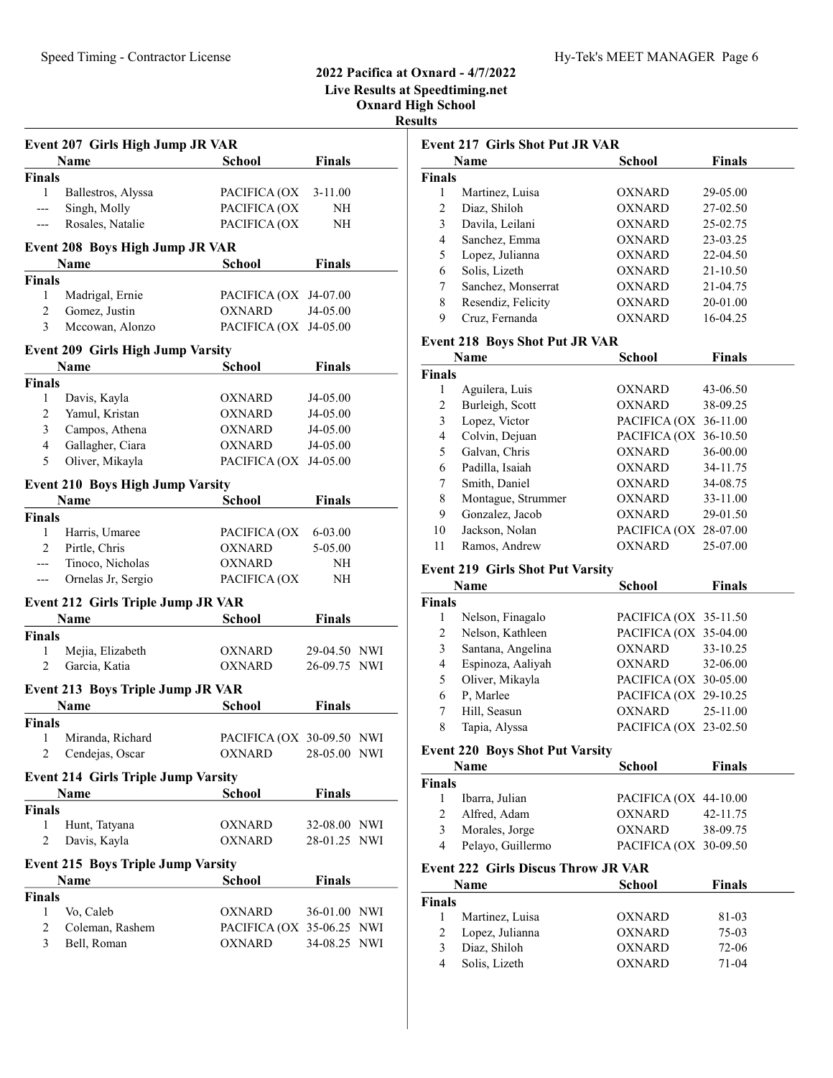# 2022 Pacifica at Oxnard - 4/7/2022 Live Results at Speedtiming.net Oxnard High School

|                    |                                            |                           |               | <b>Results</b>                       |
|--------------------|--------------------------------------------|---------------------------|---------------|--------------------------------------|
|                    | Event 207 Girls High Jump JR VAR           |                           |               | <b>Event 2</b>                       |
|                    | Name                                       | <b>School</b>             | <b>Finals</b> | N:                                   |
| <b>Finals</b>      |                                            |                           |               | <b>Finals</b>                        |
| 1                  | Ballestros, Alyssa                         | PACIFICA (OX              | $3-11.00$     | $\mathbf{1}$<br>ľ                    |
| ---                | Singh, Molly                               | PACIFICA (OX              | NH            | 2<br>I                               |
| ---                | Rosales, Natalie                           | PACIFICA (OX              | NH            | 3<br>I                               |
|                    | <b>Event 208 Boys High Jump JR VAR</b>     |                           |               | Š<br>$\overline{4}$                  |
|                    | Name                                       | <b>School</b>             | <b>Finals</b> | 5<br>I                               |
|                    |                                            |                           |               | Š<br>6                               |
| <b>Finals</b><br>1 | Madrigal, Ernie                            | PACIFICA (OX J4-07.00     |               | Š<br>7                               |
| $\overline{2}$     |                                            | <b>OXNARD</b>             | J4-05.00      | 8<br>I                               |
| 3                  | Gomez, Justin<br>Mccowan, Alonzo           | PACIFICA (OX J4-05.00     |               | 9<br>$\overline{\mathbf{C}}$         |
|                    |                                            |                           |               | <b>Event 2</b>                       |
|                    | <b>Event 209 Girls High Jump Varsity</b>   |                           |               | N:                                   |
|                    | Name                                       | <b>School</b>             | <b>Finals</b> | <b>Finals</b>                        |
| <b>Finals</b>      |                                            |                           |               | 1<br>I                               |
| 1                  | Davis, Kayla                               | OXNARD                    | J4-05.00      | $\overline{2}$<br>I                  |
| $\overline{2}$     | Yamul, Kristan                             | <b>OXNARD</b>             | J4-05.00      | 3<br>I                               |
| 3                  | Campos, Athena                             | <b>OXNARD</b>             | J4-05.00      | $\overline{4}$<br>$\mathbf \epsilon$ |
| $\overline{4}$     | Gallagher, Ciara                           | <b>OXNARD</b>             | J4-05.00      | 5<br>$\mathbf \zeta$                 |
| 5                  | Oliver, Mikayla                            | PACIFICA (OX              | J4-05.00      | I<br>6                               |
|                    | <b>Event 210 Boys High Jump Varsity</b>    |                           |               | Š<br>7                               |
|                    | Name                                       | <b>School</b>             | <b>Finals</b> | ľ<br>8                               |
| <b>Finals</b>      |                                            |                           |               | $\overline{\phantom{a}}$<br>9        |
| 1                  | Harris, Umaree                             | PACIFICA (OX              | 6-03.00       | J<br>10                              |
| $\overline{2}$     | Pirtle, Chris                              | <b>OXNARD</b>             | 5-05.00       | I<br>11                              |
| ---                | Tinoco, Nicholas                           | <b>OXNARD</b>             | NH            | <b>Event 2</b>                       |
| ---                | Ornelas Jr, Sergio                         | PACIFICA (OX              | NH            | N:                                   |
|                    | Event 212 Girls Triple Jump JR VAR         |                           |               | <b>Finals</b>                        |
|                    | Name                                       | School                    | <b>Finals</b> | 1<br>ľ                               |
| <b>Finals</b>      |                                            |                           |               | 2<br>ľ                               |
| 1                  | Mejia, Elizabeth                           | <b>OXNARD</b>             | 29-04.50 NWI  | Š<br>3                               |
| 2                  | Garcia, Katia                              | <b>OXNARD</b>             | 26-09.75 NWI  | $\mathbf I$<br>$\overline{4}$        |
|                    |                                            |                           |               | $\overline{\phantom{a}}$<br>5        |
|                    | <b>Event 213 Boys Triple Jump JR VAR</b>   |                           |               | I<br>6                               |
|                    | Name                                       | <b>School</b>             | <b>Finals</b> | $\bf{l}$<br>7                        |
| Finals             |                                            |                           |               | 8<br>$\overline{1}$                  |
| 1                  | Miranda, Richard                           | PACIFICA (OX 30-09.50 NWI |               |                                      |
| $\overline{2}$     | Cendejas, Oscar                            | <b>OXNARD</b>             | 28-05.00 NWI  | <b>Event 2</b>                       |
|                    | <b>Event 214 Girls Triple Jump Varsity</b> |                           |               | N:<br>Finals                         |
|                    | Name                                       | <b>School</b>             | <b>Finals</b> | 1<br>I                               |
| <b>Finals</b>      |                                            |                           |               | $\overline{2}$<br>$\overline{I}$     |
| 1                  | Hunt, Tatyana                              | OXNARD                    | 32-08.00 NWI  | 3<br>ľ                               |
| $\overline{2}$     | Davis, Kayla                               | <b>OXNARD</b>             | 28-01.25 NWI  | 4<br>I                               |
|                    | <b>Event 215 Boys Triple Jump Varsity</b>  |                           |               | <b>Event 2</b>                       |
|                    | Name                                       | <b>School</b>             | <b>Finals</b> | N:                                   |
| <b>Finals</b>      |                                            |                           |               | <b>Finals</b>                        |
| 1                  | Vo, Caleb                                  | <b>OXNARD</b>             | 36-01.00 NWI  | 1<br>ľ                               |
| $\mathfrak{2}$     | Coleman, Rashem                            | PACIFICA (OX 35-06.25 NWI |               | 2<br>I                               |
| 3                  | Bell, Roman                                | <b>OXNARD</b>             | 34-08.25 NWI  | I<br>3                               |

|                | <b>Event 217 Girls Shot Put JR VAR</b>  |                       |               |
|----------------|-----------------------------------------|-----------------------|---------------|
|                | Name                                    | School                | <b>Finals</b> |
| <b>Finals</b>  |                                         |                       |               |
| $\mathbf{1}$   | Martinez, Luisa                         | OXNARD                | 29-05.00      |
| 2              | Diaz, Shiloh                            | OXNARD                | 27-02.50      |
| 3              | Davila, Leilani                         | OXNARD                | 25-02.75      |
| 4              | Sanchez, Emma                           | OXNARD                | 23-03.25      |
| 5              | Lopez, Julianna                         | OXNARD                | 22-04.50      |
| 6              | Solis, Lizeth                           | <b>OXNARD</b>         | 21-10.50      |
| 7              | Sanchez, Monserrat                      | OXNARD                | 21-04.75      |
| 8              | Resendiz, Felicity                      | OXNARD                | 20-01.00      |
| 9              | Cruz, Fernanda                          | OXNARD                | 16-04.25      |
|                | <b>Event 218 Boys Shot Put JR VAR</b>   |                       |               |
|                | Name                                    | School                | <b>Finals</b> |
| <b>Finals</b>  |                                         |                       |               |
| 1              | Aguilera, Luis                          | OXNARD                | 43-06.50      |
| $\mathfrak{2}$ | Burleigh, Scott                         | OXNARD                | 38-09.25      |
| 3              | Lopez, Victor                           | PACIFICA (OX          | 36-11.00      |
| 4              | Colvin, Dejuan                          | PACIFICA (OX          | 36-10.50      |
| 5              | Galvan, Chris                           | OXNARD                | 36-00.00      |
| 6              | Padilla, Isaiah                         | OXNARD                | 34-11.75      |
| 7              | Smith, Daniel                           | <b>OXNARD</b>         | 34-08.75      |
| 8              | Montague, Strummer                      | <b>OXNARD</b>         | 33-11.00      |
| 9              | Gonzalez, Jacob                         | OXNARD                | 29-01.50      |
| 10             | Jackson, Nolan                          | PACIFICA (OX 28-07.00 |               |
| 11             | Ramos, Andrew                           | <b>OXNARD</b>         | 25-07.00      |
|                | <b>Event 219 Girls Shot Put Varsity</b> |                       |               |
|                | Name                                    | <b>School</b>         | <b>Finals</b> |
| <b>Finals</b>  |                                         |                       |               |
| 1              | Nelson, Finagalo                        | PACIFICA (OX 35-11.50 |               |
| 2              | Nelson, Kathleen                        | PACIFICA (OX 35-04.00 |               |
| 3              | Santana, Angelina                       | <b>OXNARD</b>         | 33-10.25      |
| 4              | Espinoza, Aaliyah                       | OXNARD                | 32-06.00      |
| 5              | Oliver, Mikayla                         | PACIFICA (OX 30-05.00 |               |
| 6              | P, Marlee                               | PACIFICA (OX 29-10.25 |               |
| 7              | Hill, Seasun                            | <b>OXNARD</b>         | 25-11.00      |
| 8              | Tapia, Alyssa                           | PACIFICA (OX 23-02.50 |               |
|                | <b>Event 220 Boys Shot Put Varsity</b>  |                       |               |

|        | Name              | <b>School</b>         | <b>Finals</b> |
|--------|-------------------|-----------------------|---------------|
| Finals |                   |                       |               |
|        | Ibarra, Julian    | PACIFICA (OX 44-10.00 |               |
|        | Alfred, Adam      | <b>OXNARD</b>         | 42-11.75      |
| 3      | Morales, Jorge    | <b>OXNARD</b>         | 38-09.75      |
|        | Pelayo, Guillermo | PACIFICA (OX 30-09.50 |               |
|        |                   |                       |               |

### 222 Girls Discus Throw JR VAR

|        | <b>Name</b>     | School | <b>Finals</b> |  |
|--------|-----------------|--------|---------------|--|
| `inals |                 |        |               |  |
|        | Martinez, Luisa | OXNARD | 81-03         |  |
|        | Lopez, Julianna | OXNARD | 75-03         |  |
|        | Diaz, Shiloh    | OXNARD | 72-06         |  |
|        | Solis, Lizeth   | OXNARD | $71-04$       |  |